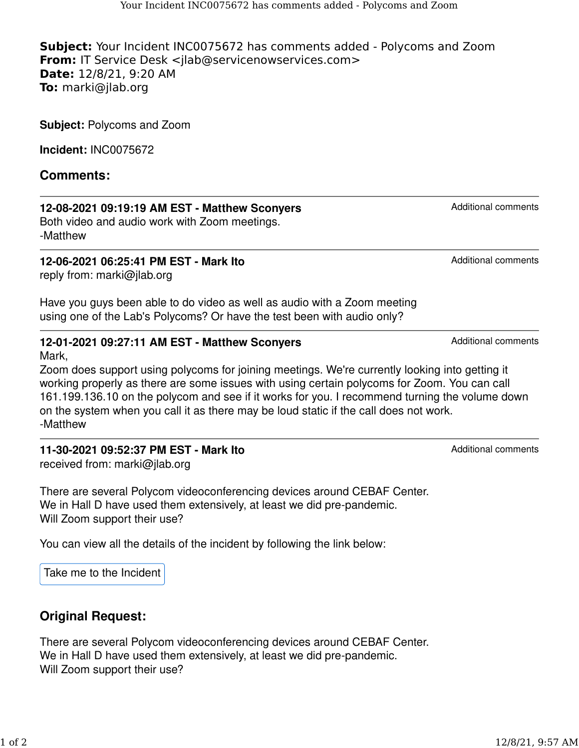**Subject:** Your Incident INC0075672 has comments added - Polycoms and Zoom **From:** IT Service Desk <ilab@servicenowservices.com> **Date:** 12/8/21, 9:20 AM **To:** marki@jlab.org

**Subject:** Polycoms and Zoom

**Incident:** INC0075672

### **Comments:**

#### **12-08-2021 09:19:19 AM EST - Matthew Sconyers**

Both video and audio work with Zoom meetings. -Matthew

**12-06-2021 06:25:41 PM EST - Mark Ito** reply from: marki@jlab.org

Have you guys been able to do video as well as audio with a Zoom meeting using one of the Lab's Polycoms? Or have the test been with audio only?

#### **12-01-2021 09:27:11 AM EST - Matthew Sconyers**

Mark,

Zoom does support using polycoms for joining meetings. We're currently looking into getting it working properly as there are some issues with using certain polycoms for Zoom. You can call 161.199.136.10 on the polycom and see if it works for you. I recommend turning the volume down on the system when you call it as there may be loud static if the call does not work. -Matthew

# **11-30-2021 09:52:37 PM EST - Mark Ito**

received from: marki@jlab.org

There are several Polycom videoconferencing devices around CEBAF Center. We in Hall D have used them extensively, at least we did pre-pandemic. Will Zoom support their use?

You can view all the details of the incident by following the link below:

[Take me to the Incident](https://urldefense.proofpoint.com/v2/url?u=https-3A__jlab.servicenowservices.com_nav-5Fto.do-3Furi-3Dincident.do-3Fsys-5Fid-3Df132c9931bc4c910f0b4dc6ce54bcbff&d=DwMFaQ&c=CJqEzB1piLOyyvZjb8YUQw&r=i3BxiInvFIdWuzU_zoMBCQ&m=iTl4Ri_bCVuki2zF88aZ2tG-Ycw2vu22fLZz9E9U2fHkWWk1GX9bTbFuXKJBXGrW&s=E8pp8OAdVcSUX-VPySLuabCwA9SkEzmhw3SRdKFcEhg&e=)

## **Original Request:**

There are several Polycom videoconferencing devices around CEBAF Center. We in Hall D have used them extensively, at least we did pre-pandemic. Will Zoom support their use?

Additional comments

Additional comments

Additional comments

Additional comments